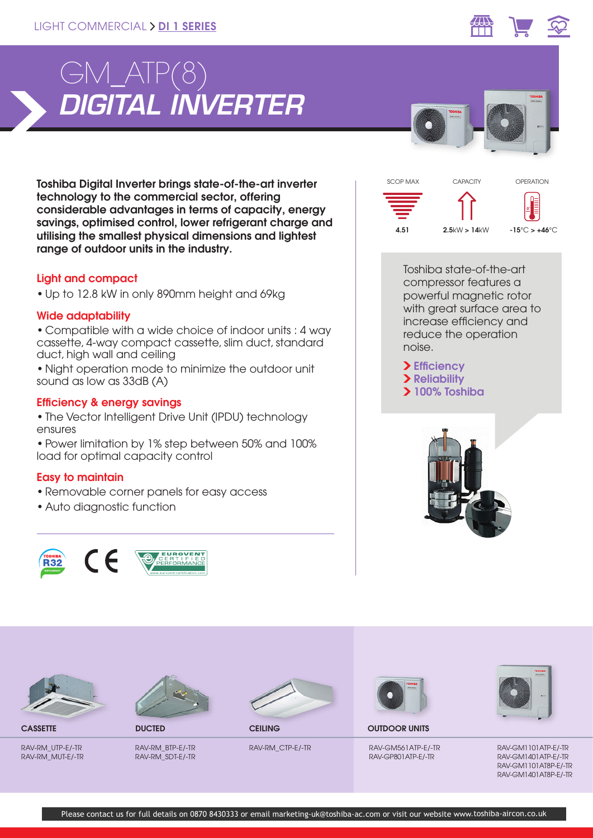

Toshiba Digital Inverter brings state-of-the-art inverter technology to the commercial sector, offering considerable advantages in terms of capacity, energy savings, optimised control, lower refrigerant charge and utilising the smallest physical dimensions and lightest range of outdoor units in the industry.

## Light and compact

• Up to 12.8 kW in only 890mm height and 69kg

## Wide adaptability

• Compatible with a wide choice of indoor units : 4 way cassette, 4-way compact cassette, slim duct, standard duct, high wall and ceiling

• Night operation mode to minimize the outdoor unit sound as low as 33dB (A)

## Efficiency & energy savings

- The Vector Intelligent Drive Unit (IPDU) technology ensures
- Power limitation by 1% step between 50% and 100% load for optimal capacity control

# Easy to maintain

- Removable corner panels for easy access
- Auto diagnostic function





Toshiba state-of-the-art compressor features a powerful magnetic rotor with great surface area to increase efficiency and reduce the operation noise.

> Efficiency > Reliability 100% Toshiba





RAV-RM\_UTP-E/-TR RAV-RM\_MUT-E/-TR



RAV-RM\_BTP-E/-TR RAV-RM\_SDT-E/-TR



**CASSETTE DUCTED DUCTED CEILING** 

RAV-RM\_CTP-E/-TR



OUTDOOR UNITS

RAV-GM561ATP-E/-TR RAV-GP801ATP-E/-TR



RAV-GM1101ATP-E/-TR RAV-GM1401ATP-E/-TR RAV-GM1101AT8P-E/-TR RAV-GM1401AT8P-E/-TR